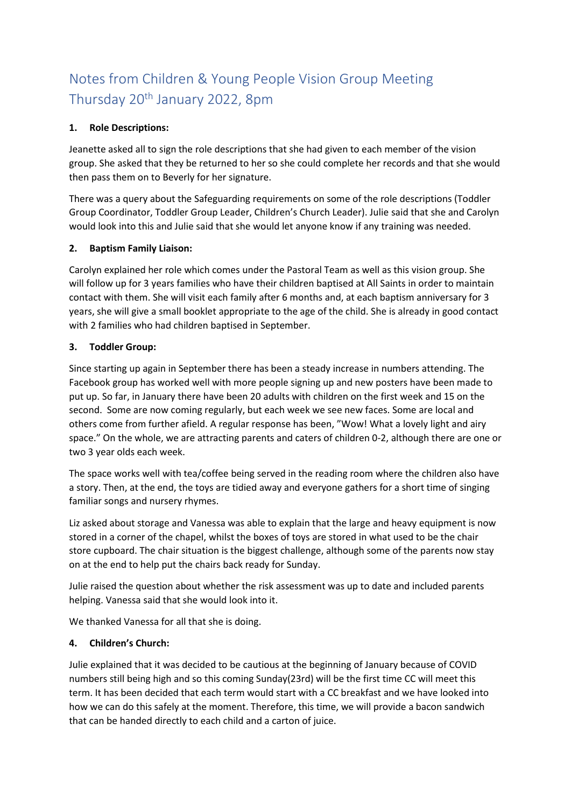# Notes from Children & Young People Vision Group Meeting Thursday 20th January 2022, 8pm

### **1. Role Descriptions:**

Jeanette asked all to sign the role descriptions that she had given to each member of the vision group. She asked that they be returned to her so she could complete her records and that she would then pass them on to Beverly for her signature.

There was a query about the Safeguarding requirements on some of the role descriptions (Toddler Group Coordinator, Toddler Group Leader, Children's Church Leader). Julie said that she and Carolyn would look into this and Julie said that she would let anyone know if any training was needed.

### **2. Baptism Family Liaison:**

Carolyn explained her role which comes under the Pastoral Team as well as this vision group. She will follow up for 3 years families who have their children baptised at All Saints in order to maintain contact with them. She will visit each family after 6 months and, at each baptism anniversary for 3 years, she will give a small booklet appropriate to the age of the child. She is already in good contact with 2 families who had children baptised in September.

### **3. Toddler Group:**

Since starting up again in September there has been a steady increase in numbers attending. The Facebook group has worked well with more people signing up and new posters have been made to put up. So far, in January there have been 20 adults with children on the first week and 15 on the second. Some are now coming regularly, but each week we see new faces. Some are local and others come from further afield. A regular response has been, "Wow! What a lovely light and airy space." On the whole, we are attracting parents and caters of children 0-2, although there are one or two 3 year olds each week.

The space works well with tea/coffee being served in the reading room where the children also have a story. Then, at the end, the toys are tidied away and everyone gathers for a short time of singing familiar songs and nursery rhymes.

Liz asked about storage and Vanessa was able to explain that the large and heavy equipment is now stored in a corner of the chapel, whilst the boxes of toys are stored in what used to be the chair store cupboard. The chair situation is the biggest challenge, although some of the parents now stay on at the end to help put the chairs back ready for Sunday.

Julie raised the question about whether the risk assessment was up to date and included parents helping. Vanessa said that she would look into it.

We thanked Vanessa for all that she is doing.

## **4. Children's Church:**

Julie explained that it was decided to be cautious at the beginning of January because of COVID numbers still being high and so this coming Sunday(23rd) will be the first time CC will meet this term. It has been decided that each term would start with a CC breakfast and we have looked into how we can do this safely at the moment. Therefore, this time, we will provide a bacon sandwich that can be handed directly to each child and a carton of juice.